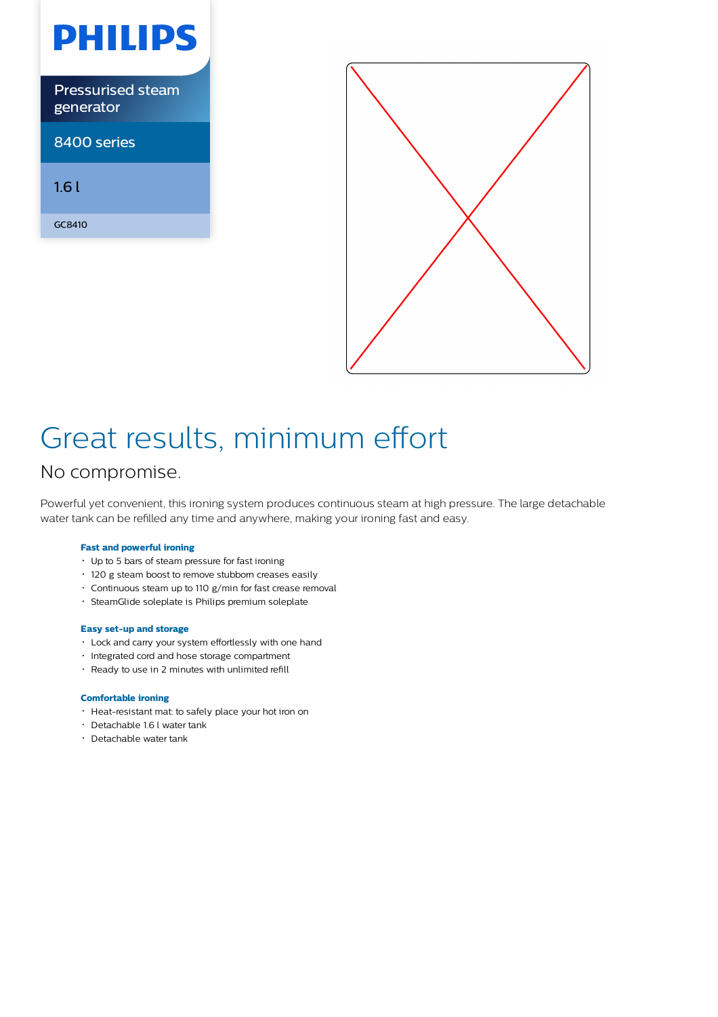



# Great results, minimum effort

## No compromise.

Powerful yet convenient, this ironing system produces continuous steam at high pressure. The large detachable water tank can be refilled any time and anywhere, making your ironing fast and easy.

### **Fast and powerful ironing**

- Up to 5 bars of steam pressure for fast ironing
- 120 g steam boost to remove stubborn creases easily
- Continuous steam up to 110 g/min for fast crease removal
- SteamGlide soleplate is Philips premium soleplate

### **Easy set-up and storage**

- Lock and carry your system effortlessly with one hand
- Integrated cord and hose storage compartment
- Ready to use in 2 minutes with unlimited refill

#### **Comfortable ironing**

- Heat-resistant mat: to safely place your hot iron on
- Detachable 1.6 l water tank
- Detachable water tank